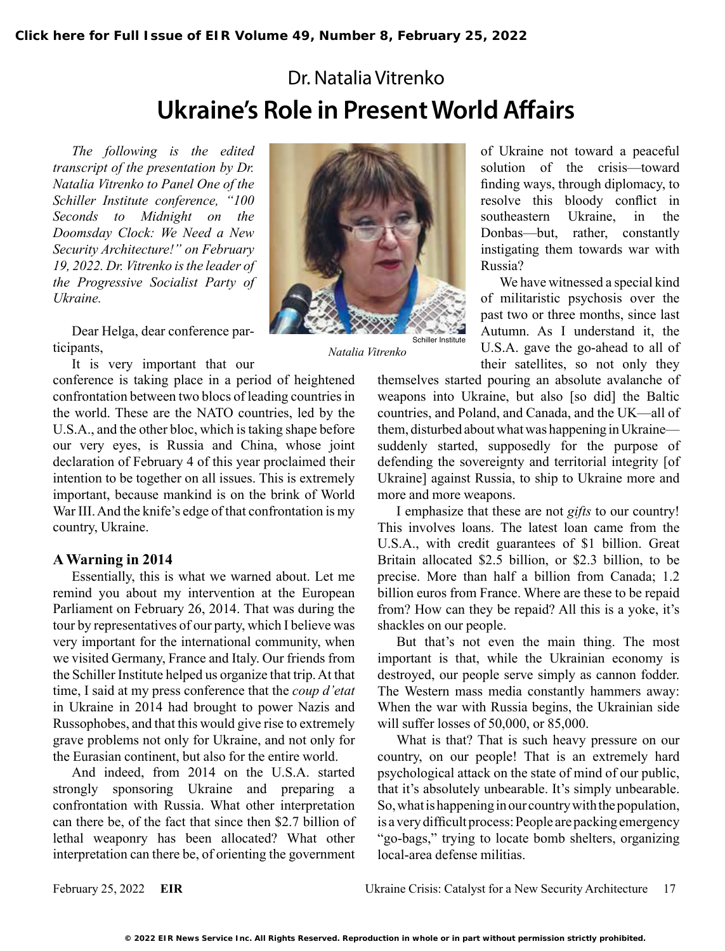# Dr. Natalia Vitrenko **Ukraine's Role in Present World Affairs**

*The following is the edited transcript of the presentation by Dr. Natalia Vitrenko to Panel One of the Schiller Institute conference, "100 Seconds to Midnight on the Doomsday Clock: We Need a New Security Architecture!" on February 19, 2022. Dr. Vitrenko is the leader of the Progressive Socialist Party of Ukraine.*

Dear Helga, dear conference participants,

It is very important that our



*Natalia Vitrenko*

conference is taking place in a period of heightened confrontation between two blocs of leading countries in the world. These are the NATO countries, led by the U.S.A., and the other bloc, which is taking shape before our very eyes, is Russia and China, whose joint declaration of February 4 of this year proclaimed their intention to be together on all issues. This is extremely important, because mankind is on the brink of World War III. And the knife's edge of that confrontation is my country, Ukraine.

## **A Warning in 2014**

Essentially, this is what we warned about. Let me remind you about my intervention at the European Parliament on February 26, 2014. That was during the tour by representatives of our party, which I believe was very important for the international community, when we visited Germany, France and Italy. Our friends from the Schiller Institute helped us organize that trip. At that time, I said at my press conference that the *coup d'etat* in Ukraine in 2014 had brought to power Nazis and Russophobes, and that this would give rise to extremely grave problems not only for Ukraine, and not only for the Eurasian continent, but also for the entire world.

And indeed, from 2014 on the U.S.A. started strongly sponsoring Ukraine and preparing a confrontation with Russia. What other interpretation can there be, of the fact that since then \$2.7 billion of lethal weaponry has been allocated? What other interpretation can there be, of orienting the government of Ukraine not toward a peaceful solution of the crisis—toward finding ways, through diplomacy, to resolve this bloody conflict in southeastern Ukraine, in the Donbas—but, rather, constantly instigating them towards war with Russia?

We have witnessed a special kind of militaristic psychosis over the past two or three months, since last Autumn. As I understand it, the U.S.A. gave the go-ahead to all of their satellites, so not only they

themselves started pouring an absolute avalanche of weapons into Ukraine, but also [so did] the Baltic countries, and Poland, and Canada, and the UK—all of them, disturbed about what was happening in Ukraine suddenly started, supposedly for the purpose of defending the sovereignty and territorial integrity [of Ukraine] against Russia, to ship to Ukraine more and more and more weapons.

I emphasize that these are not *gifts* to our country! This involves loans. The latest loan came from the U.S.A., with credit guarantees of \$1 billion. Great Britain allocated \$2.5 billion, or \$2.3 billion, to be precise. More than half a billion from Canada; 1.2 billion euros from France. Where are these to be repaid from? How can they be repaid? All this is a yoke, it's shackles on our people.

But that's not even the main thing. The most important is that, while the Ukrainian economy is destroyed, our people serve simply as cannon fodder. The Western mass media constantly hammers away: When the war with Russia begins, the Ukrainian side will suffer losses of 50,000, or 85,000.

What is that? That is such heavy pressure on our country, on our people! That is an extremely hard psychological attack on the state of mind of our public, that it's absolutely unbearable. It's simply unbearable. So, what is happening in our country with the population, is a very difficult process: People are packing emergency "go-bags," trying to locate bomb shelters, organizing local-area defense militias.

February 25, 2022 **EIR** Ukraine Crisis: Catalyst for a New Security Architecture 17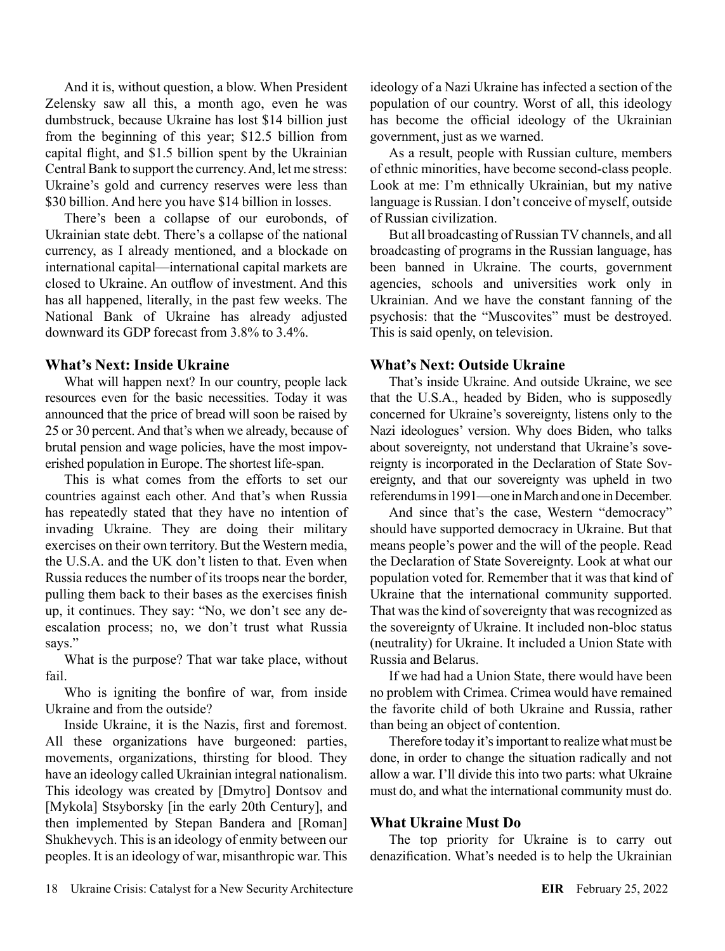And it is, without question, a blow. When President Zelensky saw all this, a month ago, even he was dumbstruck, because Ukraine has lost \$14 billion just from the beginning of this year; \$12.5 billion from capital flight, and \$1.5 billion spent by the Ukrainian Central Bank to support the currency. And, let me stress: Ukraine's gold and currency reserves were less than \$30 billion. And here you have \$14 billion in losses.

There's been a collapse of our eurobonds, of Ukrainian state debt. There's a collapse of the national currency, as I already mentioned, and a blockade on international capital—international capital markets are closed to Ukraine. An outflow of investment. And this has all happened, literally, in the past few weeks. The National Bank of Ukraine has already adjusted downward its GDP forecast from 3.8% to 3.4%.

#### **What's Next: Inside Ukraine**

What will happen next? In our country, people lack resources even for the basic necessities. Today it was announced that the price of bread will soon be raised by 25 or 30 percent. And that's when we already, because of brutal pension and wage policies, have the most impoverished population in Europe. The shortest life-span.

This is what comes from the efforts to set our countries against each other. And that's when Russia has repeatedly stated that they have no intention of invading Ukraine. They are doing their military exercises on their own territory. But the Western media, the U.S.A. and the UK don't listen to that. Even when Russia reduces the number of its troops near the border, pulling them back to their bases as the exercises finish up, it continues. They say: "No, we don't see any deescalation process; no, we don't trust what Russia says."

What is the purpose? That war take place, without fail.

Who is igniting the bonfire of war, from inside Ukraine and from the outside?

Inside Ukraine, it is the Nazis, first and foremost. All these organizations have burgeoned: parties, movements, organizations, thirsting for blood. They have an ideology called Ukrainian integral nationalism. This ideology was created by [Dmytro] Dontsov and [Mykola] Stsyborsky [in the early 20th Century], and then implemented by Stepan Bandera and [Roman] Shukhevych. This is an ideology of enmity between our peoples. It is an ideology of war, misanthropic war. This

ideology of a Nazi Ukraine has infected a section of the population of our country. Worst of all, this ideology has become the official ideology of the Ukrainian government, just as we warned.

As a result, people with Russian culture, members of ethnic minorities, have become second-class people. Look at me: I'm ethnically Ukrainian, but my native language is Russian. I don't conceive of myself, outside of Russian civilization.

But all broadcasting of Russian TV channels, and all broadcasting of programs in the Russian language, has been banned in Ukraine. The courts, government agencies, schools and universities work only in Ukrainian. And we have the constant fanning of the psychosis: that the "Muscovites" must be destroyed. This is said openly, on television.

### **What's Next: Outside Ukraine**

That's inside Ukraine. And outside Ukraine, we see that the U.S.A., headed by Biden, who is supposedly concerned for Ukraine's sovereignty, listens only to the Nazi ideologues' version. Why does Biden, who talks about sovereignty, not understand that Ukraine's sovereignty is incorporated in the Declaration of State Sovereignty, and that our sovereignty was upheld in two referendums in 1991—one in March and one in December.

And since that's the case, Western "democracy" should have supported democracy in Ukraine. But that means people's power and the will of the people. Read the Declaration of State Sovereignty. Look at what our population voted for. Remember that it was that kind of Ukraine that the international community supported. That was the kind of sovereignty that was recognized as the sovereignty of Ukraine. It included non-bloc status (neutrality) for Ukraine. It included a Union State with Russia and Belarus.

If we had had a Union State, there would have been no problem with Crimea. Crimea would have remained the favorite child of both Ukraine and Russia, rather than being an object of contention.

Therefore today it's important to realize what must be done, in order to change the situation radically and not allow a war. I'll divide this into two parts: what Ukraine must do, and what the international community must do.

#### **What Ukraine Must Do**

The top priority for Ukraine is to carry out denazification. What's needed is to help the Ukrainian